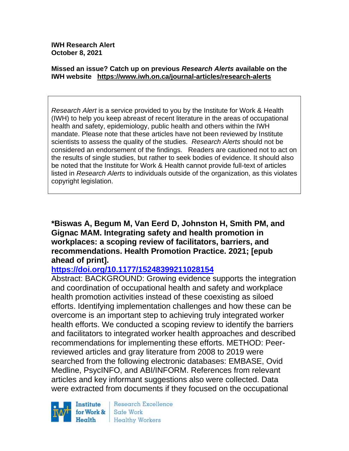**IWH Research Alert October 8, 2021**

#### **Missed an issue? Catch up on previous** *Research Alerts* **available on the [IWH website](http://www.iwh.on.ca/research-alerts) <https://www.iwh.on.ca/journal-articles/research-alerts>**

*Research Alert* is a service provided to you by the Institute for Work & Health (IWH) to help you keep abreast of recent literature in the areas of occupational health and safety, epidemiology, public health and others within the IWH mandate. Please note that these articles have not been reviewed by Institute scientists to assess the quality of the studies. *Research Alerts* should not be considered an endorsement of the findings. Readers are cautioned not to act on the results of single studies, but rather to seek bodies of evidence. It should also be noted that the Institute for Work & Health cannot provide full-text of articles listed in *Research Alerts* to individuals outside of the organization, as this violates copyright legislation.

**\*Biswas A, Begum M, Van Eerd D, Johnston H, Smith PM, and Gignac MAM. Integrating safety and health promotion in workplaces: a scoping review of facilitators, barriers, and recommendations. Health Promotion Practice. 2021; [epub ahead of print].** 

## **<https://doi.org/10.1177/15248399211028154>**

Abstract: BACKGROUND: Growing evidence supports the integration and coordination of occupational health and safety and workplace health promotion activities instead of these coexisting as siloed efforts. Identifying implementation challenges and how these can be overcome is an important step to achieving truly integrated worker health efforts. We conducted a scoping review to identify the barriers and facilitators to integrated worker health approaches and described recommendations for implementing these efforts. METHOD: Peerreviewed articles and gray literature from 2008 to 2019 were searched from the following electronic databases: EMBASE, Ovid Medline, PsycINFO, and ABI/INFORM. References from relevant articles and key informant suggestions also were collected. Data were extracted from documents if they focused on the occupational



Research Excellence Safe Work **Healthy Workers**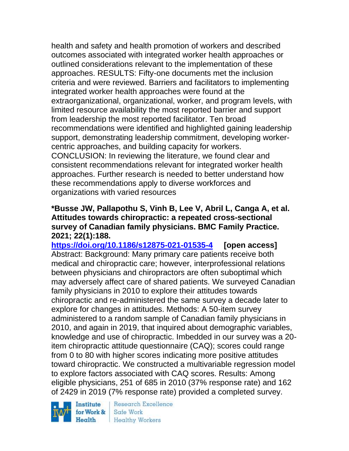health and safety and health promotion of workers and described outcomes associated with integrated worker health approaches or outlined considerations relevant to the implementation of these approaches. RESULTS: Fifty-one documents met the inclusion criteria and were reviewed. Barriers and facilitators to implementing integrated worker health approaches were found at the extraorganizational, organizational, worker, and program levels, with limited resource availability the most reported barrier and support from leadership the most reported facilitator. Ten broad recommendations were identified and highlighted gaining leadership support, demonstrating leadership commitment, developing workercentric approaches, and building capacity for workers. CONCLUSION: In reviewing the literature, we found clear and consistent recommendations relevant for integrated worker health approaches. Further research is needed to better understand how these recommendations apply to diverse workforces and organizations with varied resources

#### **\*Busse JW, Pallapothu S, Vinh B, Lee V, Abril L, Canga A, et al. Attitudes towards chiropractic: a repeated cross-sectional survey of Canadian family physicians. BMC Family Practice. 2021; 22(1):188.**

**<https://doi.org/10.1186/s12875-021-01535-4> [open access]** Abstract: Background: Many primary care patients receive both medical and chiropractic care; however, interprofessional relations between physicians and chiropractors are often suboptimal which may adversely affect care of shared patients. We surveyed Canadian family physicians in 2010 to explore their attitudes towards chiropractic and re-administered the same survey a decade later to explore for changes in attitudes. Methods: A 50-item survey administered to a random sample of Canadian family physicians in 2010, and again in 2019, that inquired about demographic variables, knowledge and use of chiropractic. Imbedded in our survey was a 20 item chiropractic attitude questionnaire (CAQ); scores could range from 0 to 80 with higher scores indicating more positive attitudes toward chiropractic. We constructed a multivariable regression model to explore factors associated with CAQ scores. Results: Among eligible physicians, 251 of 685 in 2010 (37% response rate) and 162 of 2429 in 2019 (7% response rate) provided a completed survey.

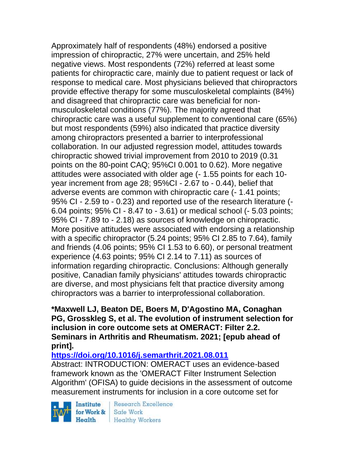Approximately half of respondents (48%) endorsed a positive impression of chiropractic, 27% were uncertain, and 25% held negative views. Most respondents (72%) referred at least some patients for chiropractic care, mainly due to patient request or lack of response to medical care. Most physicians believed that chiropractors provide effective therapy for some musculoskeletal complaints (84%) and disagreed that chiropractic care was beneficial for nonmusculoskeletal conditions (77%). The majority agreed that chiropractic care was a useful supplement to conventional care (65%) but most respondents (59%) also indicated that practice diversity among chiropractors presented a barrier to interprofessional collaboration. In our adjusted regression model, attitudes towards chiropractic showed trivial improvement from 2010 to 2019 (0.31 points on the 80-point CAQ; 95%CI 0.001 to 0.62). More negative attitudes were associated with older age (- 1.55 points for each 10 year increment from age 28; 95%CI - 2.67 to - 0.44), belief that adverse events are common with chiropractic care (- 1.41 points; 95% CI - 2.59 to - 0.23) and reported use of the research literature (- 6.04 points; 95% CI - 8.47 to - 3.61) or medical school (- 5.03 points; 95% CI - 7.89 to - 2.18) as sources of knowledge on chiropractic. More positive attitudes were associated with endorsing a relationship with a specific chiropractor (5.24 points; 95% CI 2.85 to 7.64), family and friends (4.06 points; 95% CI 1.53 to 6.60), or personal treatment experience (4.63 points; 95% CI 2.14 to 7.11) as sources of information regarding chiropractic. Conclusions: Although generally positive, Canadian family physicians' attitudes towards chiropractic are diverse, and most physicians felt that practice diversity among chiropractors was a barrier to interprofessional collaboration.

## **\*Maxwell LJ, Beaton DE, Boers M, D'Agostino MA, Conaghan PG, Grosskleg S, et al. The evolution of instrument selection for inclusion in core outcome sets at OMERACT: Filter 2.2. Seminars in Arthritis and Rheumatism. 2021; [epub ahead of print].**

**<https://doi.org/10.1016/j.semarthrit.2021.08.011>** 

Abstract: INTRODUCTION: OMERACT uses an evidence-based framework known as the 'OMERACT Filter Instrument Selection Algorithm' (OFISA) to guide decisions in the assessment of outcome measurement instruments for inclusion in a core outcome set for

Institute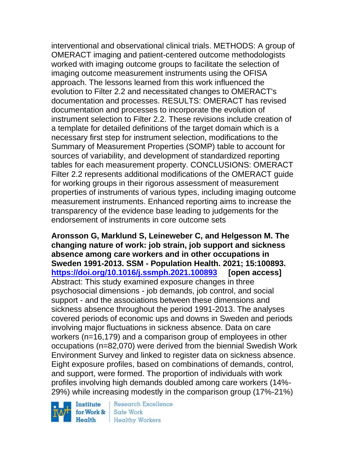interventional and observational clinical trials. METHODS: A group of OMERACT imaging and patient-centered outcome methodologists worked with imaging outcome groups to facilitate the selection of imaging outcome measurement instruments using the OFISA approach. The lessons learned from this work influenced the evolution to Filter 2.2 and necessitated changes to OMERACT's documentation and processes. RESULTS: OMERACT has revised documentation and processes to incorporate the evolution of instrument selection to Filter 2.2. These revisions include creation of a template for detailed definitions of the target domain which is a necessary first step for instrument selection, modifications to the Summary of Measurement Properties (SOMP) table to account for sources of variability, and development of standardized reporting tables for each measurement property. CONCLUSIONS: OMERACT Filter 2.2 represents additional modifications of the OMERACT guide for working groups in their rigorous assessment of measurement properties of instruments of various types, including imaging outcome measurement instruments. Enhanced reporting aims to increase the transparency of the evidence base leading to judgements for the endorsement of instruments in core outcome sets

**Aronsson G, Marklund S, Leineweber C, and Helgesson M. The changing nature of work: job strain, job support and sickness absence among care workers and in other occupations in Sweden 1991-2013. SSM - Population Health. 2021; 15:100893. <https://doi.org/10.1016/j.ssmph.2021.100893> [open access]** Abstract: This study examined exposure changes in three psychosocial dimensions - job demands, job control, and social support - and the associations between these dimensions and sickness absence throughout the period 1991-2013. The analyses covered periods of economic ups and downs in Sweden and periods involving major fluctuations in sickness absence. Data on care workers (n=16,179) and a comparison group of employees in other occupations (n=82,070) were derived from the biennial Swedish Work Environment Survey and linked to register data on sickness absence. Eight exposure profiles, based on combinations of demands, control, and support, were formed. The proportion of individuals with work profiles involving high demands doubled among care workers (14%- 29%) while increasing modestly in the comparison group (17%-21%)

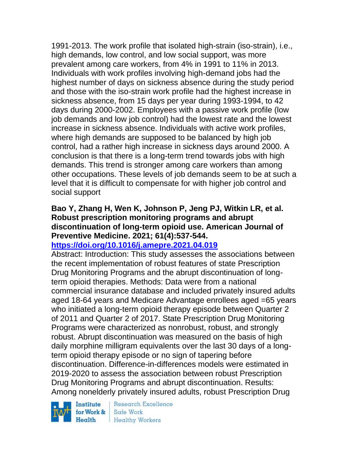1991-2013. The work profile that isolated high-strain (iso-strain), i.e., high demands, low control, and low social support, was more prevalent among care workers, from 4% in 1991 to 11% in 2013. Individuals with work profiles involving high-demand jobs had the highest number of days on sickness absence during the study period and those with the iso-strain work profile had the highest increase in sickness absence, from 15 days per year during 1993-1994, to 42 days during 2000-2002. Employees with a passive work profile (low job demands and low job control) had the lowest rate and the lowest increase in sickness absence. Individuals with active work profiles, where high demands are supposed to be balanced by high job control, had a rather high increase in sickness days around 2000. A conclusion is that there is a long-term trend towards jobs with high demands. This trend is stronger among care workers than among other occupations. These levels of job demands seem to be at such a level that it is difficult to compensate for with higher job control and social support

# **Bao Y, Zhang H, Wen K, Johnson P, Jeng PJ, Witkin LR, et al. Robust prescription monitoring programs and abrupt discontinuation of long-term opioid use. American Journal of Preventive Medicine. 2021; 61(4):537-544.**

## **<https://doi.org/10.1016/j.amepre.2021.04.019>**

Abstract: Introduction: This study assesses the associations between the recent implementation of robust features of state Prescription Drug Monitoring Programs and the abrupt discontinuation of longterm opioid therapies. Methods: Data were from a national commercial insurance database and included privately insured adults aged 18-64 years and Medicare Advantage enrollees aged =65 years who initiated a long-term opioid therapy episode between Quarter 2 of 2011 and Quarter 2 of 2017. State Prescription Drug Monitoring Programs were characterized as nonrobust, robust, and strongly robust. Abrupt discontinuation was measured on the basis of high daily morphine milligram equivalents over the last 30 days of a longterm opioid therapy episode or no sign of tapering before discontinuation. Difference-in-differences models were estimated in 2019-2020 to assess the association between robust Prescription Drug Monitoring Programs and abrupt discontinuation. Results: Among nonelderly privately insured adults, robust Prescription Drug

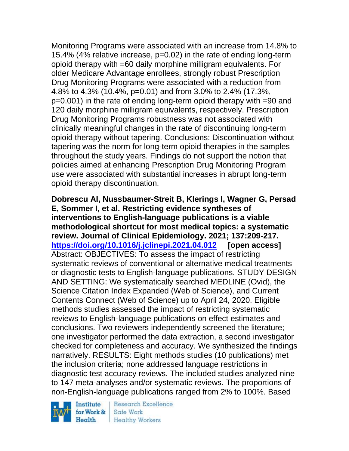Monitoring Programs were associated with an increase from 14.8% to 15.4% (4% relative increase, p=0.02) in the rate of ending long-term opioid therapy with =60 daily morphine milligram equivalents. For older Medicare Advantage enrollees, strongly robust Prescription Drug Monitoring Programs were associated with a reduction from 4.8% to 4.3% (10.4%, p=0.01) and from 3.0% to 2.4% (17.3%, p=0.001) in the rate of ending long-term opioid therapy with =90 and 120 daily morphine milligram equivalents, respectively. Prescription Drug Monitoring Programs robustness was not associated with clinically meaningful changes in the rate of discontinuing long-term opioid therapy without tapering. Conclusions: Discontinuation without tapering was the norm for long-term opioid therapies in the samples throughout the study years. Findings do not support the notion that policies aimed at enhancing Prescription Drug Monitoring Program use were associated with substantial increases in abrupt long-term opioid therapy discontinuation.

**Dobrescu AI, Nussbaumer-Streit B, Klerings I, Wagner G, Persad E, Sommer I, et al. Restricting evidence syntheses of interventions to English-language publications is a viable methodological shortcut for most medical topics: a systematic review. Journal of Clinical Epidemiology. 2021; 137:209-217. <https://doi.org/10.1016/j.jclinepi.2021.04.012> [open access]** Abstract: OBJECTIVES: To assess the impact of restricting systematic reviews of conventional or alternative medical treatments or diagnostic tests to English-language publications. STUDY DESIGN AND SETTING: We systematically searched MEDLINE (Ovid), the Science Citation Index Expanded (Web of Science), and Current Contents Connect (Web of Science) up to April 24, 2020. Eligible methods studies assessed the impact of restricting systematic reviews to English-language publications on effect estimates and conclusions. Two reviewers independently screened the literature; one investigator performed the data extraction, a second investigator checked for completeness and accuracy. We synthesized the findings narratively. RESULTS: Eight methods studies (10 publications) met the inclusion criteria; none addressed language restrictions in diagnostic test accuracy reviews. The included studies analyzed nine to 147 meta-analyses and/or systematic reviews. The proportions of non-English-language publications ranged from 2% to 100%. Based

Institute for Work &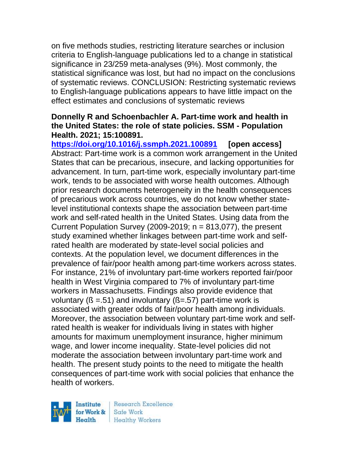on five methods studies, restricting literature searches or inclusion criteria to English-language publications led to a change in statistical significance in 23/259 meta-analyses (9%). Most commonly, the statistical significance was lost, but had no impact on the conclusions of systematic reviews. CONCLUSION: Restricting systematic reviews to English-language publications appears to have little impact on the effect estimates and conclusions of systematic reviews

### **Donnelly R and Schoenbachler A. Part-time work and health in the United States: the role of state policies. SSM - Population Health. 2021; 15:100891.**

**<https://doi.org/10.1016/j.ssmph.2021.100891> [open access]** Abstract: Part-time work is a common work arrangement in the United States that can be precarious, insecure, and lacking opportunities for advancement. In turn, part-time work, especially involuntary part-time work, tends to be associated with worse health outcomes. Although prior research documents heterogeneity in the health consequences of precarious work across countries, we do not know whether statelevel institutional contexts shape the association between part-time work and self-rated health in the United States. Using data from the Current Population Survey (2009-2019;  $n = 813,077$ ), the present study examined whether linkages between part-time work and selfrated health are moderated by state-level social policies and contexts. At the population level, we document differences in the prevalence of fair/poor health among part-time workers across states. For instance, 21% of involuntary part-time workers reported fair/poor health in West Virginia compared to 7% of involuntary part-time workers in Massachusetts. Findings also provide evidence that voluntary ( $\beta = 51$ ) and involuntary ( $\beta = 57$ ) part-time work is associated with greater odds of fair/poor health among individuals. Moreover, the association between voluntary part-time work and selfrated health is weaker for individuals living in states with higher amounts for maximum unemployment insurance, higher minimum wage, and lower income inequality. State-level policies did not moderate the association between involuntary part-time work and health. The present study points to the need to mitigate the health consequences of part-time work with social policies that enhance the health of workers.

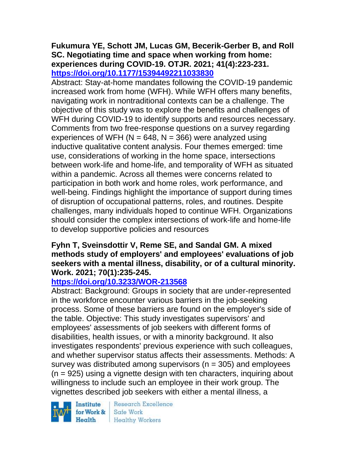### **Fukumura YE, Schott JM, Lucas GM, Becerik-Gerber B, and Roll SC. Negotiating time and space when working from home: experiences during COVID-19. OTJR. 2021; 41(4):223-231. <https://doi.org/10.1177/15394492211033830>**

Abstract: Stay-at-home mandates following the COVID-19 pandemic increased work from home (WFH). While WFH offers many benefits, navigating work in nontraditional contexts can be a challenge. The objective of this study was to explore the benefits and challenges of WFH during COVID-19 to identify supports and resources necessary. Comments from two free-response questions on a survey regarding experiences of WFH ( $N = 648$ ,  $N = 366$ ) were analyzed using inductive qualitative content analysis. Four themes emerged: time use, considerations of working in the home space, intersections between work-life and home-life, and temporality of WFH as situated within a pandemic. Across all themes were concerns related to participation in both work and home roles, work performance, and well-being. Findings highlight the importance of support during times of disruption of occupational patterns, roles, and routines. Despite challenges, many individuals hoped to continue WFH. Organizations should consider the complex intersections of work-life and home-life to develop supportive policies and resources

## **Fyhn T, Sveinsdottir V, Reme SE, and Sandal GM. A mixed methods study of employers' and employees' evaluations of job seekers with a mental illness, disability, or of a cultural minority. Work. 2021; 70(1):235-245.**

# **<https://doi.org/10.3233/WOR-213568>**

Abstract: Background: Groups in society that are under-represented in the workforce encounter various barriers in the job-seeking process. Some of these barriers are found on the employer's side of the table. Objective: This study investigates supervisors' and employees' assessments of job seekers with different forms of disabilities, health issues, or with a minority background. It also investigates respondents' previous experience with such colleagues, and whether supervisor status affects their assessments. Methods: A survey was distributed among supervisors ( $n = 305$ ) and employees  $(n = 925)$  using a vignette design with ten characters, inquiring about willingness to include such an employee in their work group. The vignettes described job seekers with either a mental illness, a

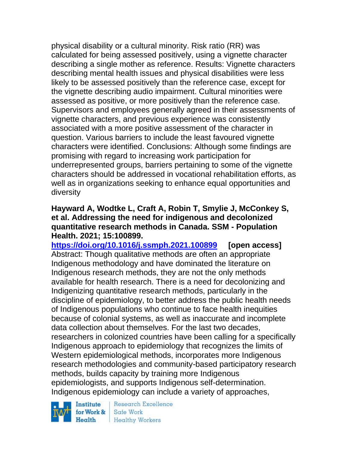physical disability or a cultural minority. Risk ratio (RR) was calculated for being assessed positively, using a vignette character describing a single mother as reference. Results: Vignette characters describing mental health issues and physical disabilities were less likely to be assessed positively than the reference case, except for the vignette describing audio impairment. Cultural minorities were assessed as positive, or more positively than the reference case. Supervisors and employees generally agreed in their assessments of vignette characters, and previous experience was consistently associated with a more positive assessment of the character in question. Various barriers to include the least favoured vignette characters were identified. Conclusions: Although some findings are promising with regard to increasing work participation for underrepresented groups, barriers pertaining to some of the vignette characters should be addressed in vocational rehabilitation efforts, as well as in organizations seeking to enhance equal opportunities and diversity

#### **Hayward A, Wodtke L, Craft A, Robin T, Smylie J, McConkey S, et al. Addressing the need for indigenous and decolonized quantitative research methods in Canada. SSM - Population Health. 2021; 15:100899.**

**<https://doi.org/10.1016/j.ssmph.2021.100899> [open access]** Abstract: Though qualitative methods are often an appropriate Indigenous methodology and have dominated the literature on Indigenous research methods, they are not the only methods available for health research. There is a need for decolonizing and Indigenizing quantitative research methods, particularly in the discipline of epidemiology, to better address the public health needs of Indigenous populations who continue to face health inequities because of colonial systems, as well as inaccurate and incomplete data collection about themselves. For the last two decades, researchers in colonized countries have been calling for a specifically Indigenous approach to epidemiology that recognizes the limits of Western epidemiological methods, incorporates more Indigenous research methodologies and community-based participatory research methods, builds capacity by training more Indigenous epidemiologists, and supports Indigenous self-determination. Indigenous epidemiology can include a variety of approaches,

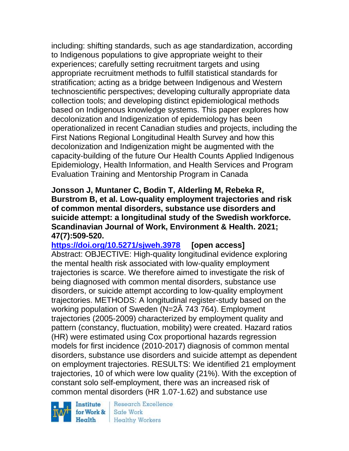including: shifting standards, such as age standardization, according to Indigenous populations to give appropriate weight to their experiences; carefully setting recruitment targets and using appropriate recruitment methods to fulfill statistical standards for stratification; acting as a bridge between Indigenous and Western technoscientific perspectives; developing culturally appropriate data collection tools; and developing distinct epidemiological methods based on Indigenous knowledge systems. This paper explores how decolonization and Indigenization of epidemiology has been operationalized in recent Canadian studies and projects, including the First Nations Regional Longitudinal Health Survey and how this decolonization and Indigenization might be augmented with the capacity-building of the future Our Health Counts Applied Indigenous Epidemiology, Health Information, and Health Services and Program Evaluation Training and Mentorship Program in Canada

**Jonsson J, Muntaner C, Bodin T, Alderling M, Rebeka R, Burstrom B, et al. Low-quality employment trajectories and risk of common mental disorders, substance use disorders and suicide attempt: a longitudinal study of the Swedish workforce. Scandinavian Journal of Work, Environment & Health. 2021; 47(7):509-520.** 

**<https://doi.org/10.5271/sjweh.3978> [open access]** Abstract: OBJECTIVE: High-quality longitudinal evidence exploring the mental health risk associated with low-quality employment trajectories is scarce. We therefore aimed to investigate the risk of being diagnosed with common mental disorders, substance use disorders, or suicide attempt according to low-quality employment trajectories. METHODS: A longitudinal register-study based on the working population of Sweden (N=2Â 743 764). Employment trajectories (2005-2009) characterized by employment quality and pattern (constancy, fluctuation, mobility) were created. Hazard ratios (HR) were estimated using Cox proportional hazards regression models for first incidence (2010-2017) diagnosis of common mental disorders, substance use disorders and suicide attempt as dependent on employment trajectories. RESULTS: We identified 21 employment trajectories, 10 of which were low quality (21%). With the exception of constant solo self-employment, there was an increased risk of common mental disorders (HR 1.07-1.62) and substance use

Institute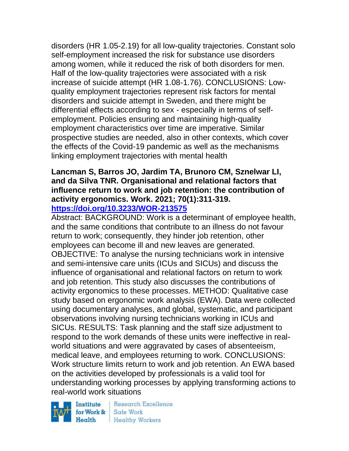disorders (HR 1.05-2.19) for all low-quality trajectories. Constant solo self-employment increased the risk for substance use disorders among women, while it reduced the risk of both disorders for men. Half of the low-quality trajectories were associated with a risk increase of suicide attempt (HR 1.08-1.76). CONCLUSIONS: Lowquality employment trajectories represent risk factors for mental disorders and suicide attempt in Sweden, and there might be differential effects according to sex - especially in terms of selfemployment. Policies ensuring and maintaining high-quality employment characteristics over time are imperative. Similar prospective studies are needed, also in other contexts, which cover the effects of the Covid-19 pandemic as well as the mechanisms linking employment trajectories with mental health

#### **Lancman S, Barros JO, Jardim TA, Brunoro CM, Sznelwar LI, and da Silva TNR. Organisational and relational factors that influence return to work and job retention: the contribution of activity ergonomics. Work. 2021; 70(1):311-319. <https://doi.org/10.3233/WOR-213575>**

Abstract: BACKGROUND: Work is a determinant of employee health, and the same conditions that contribute to an illness do not favour return to work; consequently, they hinder job retention, other employees can become ill and new leaves are generated. OBJECTIVE: To analyse the nursing technicians work in intensive and semi-intensive care units (ICUs and SICUs) and discuss the influence of organisational and relational factors on return to work and job retention. This study also discusses the contributions of activity ergonomics to these processes. METHOD: Qualitative case study based on ergonomic work analysis (EWA). Data were collected using documentary analyses, and global, systematic, and participant observations involving nursing technicians working in ICUs and SICUs. RESULTS: Task planning and the staff size adjustment to respond to the work demands of these units were ineffective in realworld situations and were aggravated by cases of absenteeism, medical leave, and employees returning to work. CONCLUSIONS: Work structure limits return to work and job retention. An EWA based on the activities developed by professionals is a valid tool for understanding working processes by applying transforming actions to real-world work situations

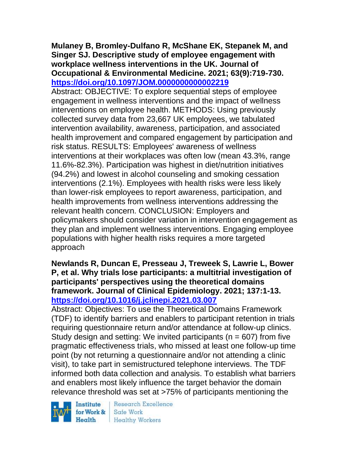## **Mulaney B, Bromley-Dulfano R, McShane EK, Stepanek M, and Singer SJ. Descriptive study of employee engagement with workplace wellness interventions in the UK. Journal of Occupational & Environmental Medicine. 2021; 63(9):719-730. <https://doi.org/10.1097/JOM.0000000000002219>**

Abstract: OBJECTIVE: To explore sequential steps of employee engagement in wellness interventions and the impact of wellness interventions on employee health. METHODS: Using previously collected survey data from 23,667 UK employees, we tabulated intervention availability, awareness, participation, and associated health improvement and compared engagement by participation and risk status. RESULTS: Employees' awareness of wellness interventions at their workplaces was often low (mean 43.3%, range 11.6%-82.3%). Participation was highest in diet/nutrition initiatives (94.2%) and lowest in alcohol counseling and smoking cessation interventions (2.1%). Employees with health risks were less likely than lower-risk employees to report awareness, participation, and health improvements from wellness interventions addressing the relevant health concern. CONCLUSION: Employers and policymakers should consider variation in intervention engagement as they plan and implement wellness interventions. Engaging employee populations with higher health risks requires a more targeted approach

## **Newlands R, Duncan E, Presseau J, Treweek S, Lawrie L, Bower P, et al. Why trials lose participants: a multitrial investigation of participants' perspectives using the theoretical domains framework. Journal of Clinical Epidemiology. 2021; 137:1-13. <https://doi.org/10.1016/j.jclinepi.2021.03.007>**

Abstract: Objectives: To use the Theoretical Domains Framework (TDF) to identify barriers and enablers to participant retention in trials requiring questionnaire return and/or attendance at follow-up clinics. Study design and setting: We invited participants ( $n = 607$ ) from five pragmatic effectiveness trials, who missed at least one follow-up time point (by not returning a questionnaire and/or not attending a clinic visit), to take part in semistructured telephone interviews. The TDF informed both data collection and analysis. To establish what barriers and enablers most likely influence the target behavior the domain relevance threshold was set at >75% of participants mentioning the

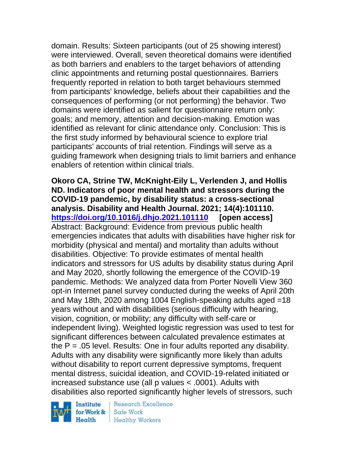domain. Results: Sixteen participants (out of 25 showing interest) were interviewed. Overall, seven theoretical domains were identified as both barriers and enablers to the target behaviors of attending clinic appointments and returning postal questionnaires. Barriers frequently reported in relation to both target behaviours stemmed from participants' knowledge, beliefs about their capabilities and the consequences of performing (or not performing) the behavior. Two domains were identified as salient for questionnaire return only: goals; and memory, attention and decision-making. Emotion was identified as relevant for clinic attendance only. Conclusion: This is the first study informed by behavioural science to explore trial participants' accounts of trial retention. Findings will serve as a guiding framework when designing trials to limit barriers and enhance enablers of retention within clinical trials.

**Okoro CA, Strine TW, McKnight-Eily L, Verlenden J, and Hollis ND. Indicators of poor mental health and stressors during the COVID-19 pandemic, by disability status: a cross-sectional analysis. Disability and Health Journal. 2021; 14(4):101110. <https://doi.org/10.1016/j.dhjo.2021.101110> [open access]** Abstract: Background: Evidence from previous public health emergencies indicates that adults with disabilities have higher risk for morbidity (physical and mental) and mortality than adults without disabilities. Objective: To provide estimates of mental health indicators and stressors for US adults by disability status during April and May 2020, shortly following the emergence of the COVID-19 pandemic. Methods: We analyzed data from Porter Novelli View 360 opt-in Internet panel survey conducted during the weeks of April 20th and May 18th, 2020 among 1004 English-speaking adults aged =18 years without and with disabilities (serious difficulty with hearing, vision, cognition, or mobility; any difficulty with self-care or independent living). Weighted logistic regression was used to test for significant differences between calculated prevalence estimates at the  $P = 0.05$  level. Results: One in four adults reported any disability. Adults with any disability were significantly more likely than adults without disability to report current depressive symptoms, frequent mental distress, suicidal ideation, and COVID-19-related initiated or increased substance use (all p values < .0001). Adults with disabilities also reported significantly higher levels of stressors, such

Institute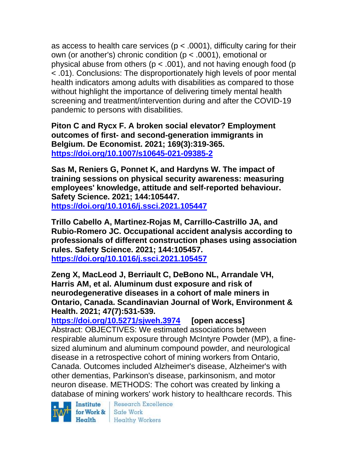as access to health care services ( $p < .0001$ ), difficulty caring for their own (or another's) chronic condition (p < .0001), emotional or physical abuse from others ( $p < .001$ ), and not having enough food ( $p$ ) < .01). Conclusions: The disproportionately high levels of poor mental health indicators among adults with disabilities as compared to those without highlight the importance of delivering timely mental health screening and treatment/intervention during and after the COVID-19 pandemic to persons with disabilities.

**Piton C and Rycx F. A broken social elevator? Employment outcomes of first- and second-generation immigrants in Belgium. De Economist. 2021; 169(3):319-365. <https://doi.org/10.1007/s10645-021-09385-2>** 

**Sas M, Reniers G, Ponnet K, and Hardyns W. The impact of training sessions on physical security awareness: measuring employees' knowledge, attitude and self-reported behaviour. Safety Science. 2021; 144:105447. <https://doi.org/10.1016/j.ssci.2021.105447>** 

**Trillo Cabello A, Martinez-Rojas M, Carrillo-Castrillo JA, and Rubio-Romero JC. Occupational accident analysis according to professionals of different construction phases using association rules. Safety Science. 2021; 144:105457. <https://doi.org/10.1016/j.ssci.2021.105457>** 

**Zeng X, MacLeod J, Berriault C, DeBono NL, Arrandale VH, Harris AM, et al. Aluminum dust exposure and risk of neurodegenerative diseases in a cohort of male miners in Ontario, Canada. Scandinavian Journal of Work, Environment & Health. 2021; 47(7):531-539.** 

**<https://doi.org/10.5271/sjweh.3974> [open access]** Abstract: OBJECTIVES: We estimated associations between respirable aluminum exposure through McIntyre Powder (MP), a finesized aluminum and aluminum compound powder, and neurological disease in a retrospective cohort of mining workers from Ontario, Canada. Outcomes included Alzheimer's disease, Alzheimer's with other dementias, Parkinson's disease, parkinsonism, and motor neuron disease. METHODS: The cohort was created by linking a database of mining workers' work history to healthcare records. This



Research Excellence Health Healthy Workers